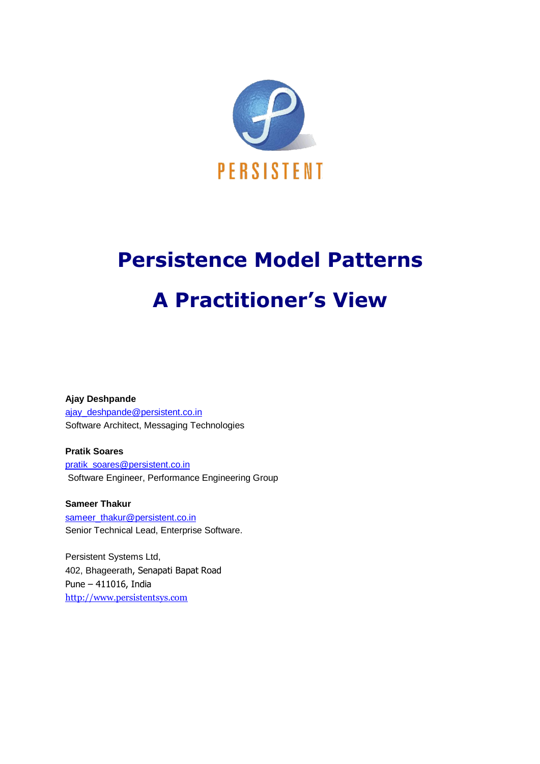

# **Persistence Model Patterns A Practitioner's View**

**Ajay Deshpande** [ajay\\_deshpande@persistent.co.in](mailto:ajay_deshpande@persistent.co.in) Software Architect, Messaging Technologies

**Pratik Soares** [pratik\\_soares@persistent.co.in](mailto:pratik_soares@persistent.co.in) Software Engineer, Performance Engineering Group

**Sameer Thakur** [sameer\\_thakur@persistent.co.in](mailto:sameer_thakur@persistent.co.in) Senior Technical Lead, Enterprise Software.

Persistent Systems Ltd, 402, Bhageerath, Senapati Bapat Road Pune – 411016, India [http://www.persistentsys.com](http://www.persistentsys.com/)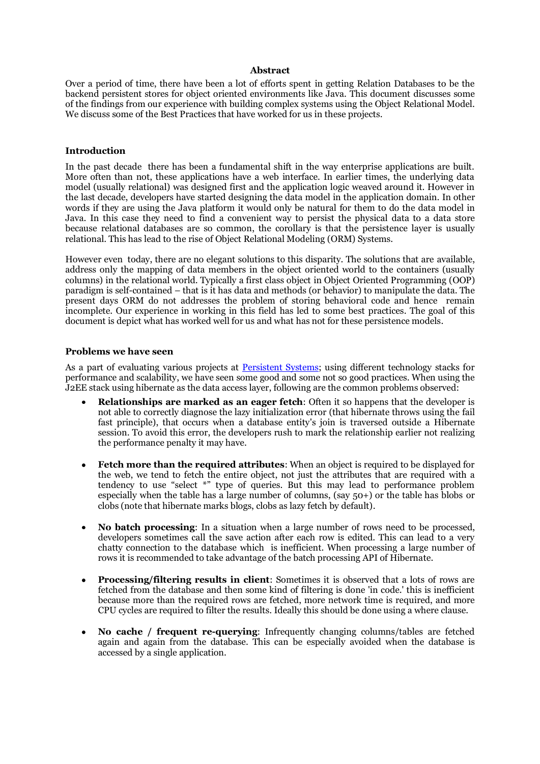#### **Abstract**

Over a period of time, there have been a lot of efforts spent in getting Relation Databases to be the backend persistent stores for object oriented environments like Java. This document discusses some of the findings from our experience with building complex systems using the Object Relational Model. We discuss some of the Best Practices that have worked for us in these projects.

#### **Introduction**

In the past decade there has been a fundamental shift in the way enterprise applications are built. More often than not, these applications have a web interface. In earlier times, the underlying data model (usually relational) was designed first and the application logic weaved around it. However in the last decade, developers have started designing the data model in the application domain. In other words if they are using the Java platform it would only be natural for them to do the data model in Java. In this case they need to find a convenient way to persist the physical data to a data store because relational databases are so common, the corollary is that the persistence layer is usually relational. This has lead to the rise of Object Relational Modeling (ORM) Systems.

However even today, there are no elegant solutions to this disparity. The solutions that are available, address only the mapping of data members in the object oriented world to the containers (usually columns) in the relational world. Typically a first class object in Object Oriented Programming (OOP) paradigm is self-contained – that is it has data and methods (or behavior) to manipulate the data. The present days ORM do not addresses the problem of storing behavioral code and hence remain incomplete. Our experience in working in this field has led to some best practices. The goal of this document is depict what has worked well for us and what has not for these persistence models.

#### **Problems we have seen**

As a part of evaluating various projects at [Persistent Systems;](http://www.persistentsys.com/) using different technology stacks for performance and scalability, we have seen some good and some not so good practices. When using the J2EE stack using hibernate as the data access layer, following are the common problems observed:

- **Relationships are marked as an eager fetch**: Often it so happens that the developer is not able to correctly diagnose the lazy initialization error (that hibernate throws using the fail fast principle), that occurs when a database entity's join is traversed outside a Hibernate session. To avoid this error, the developers rush to mark the relationship earlier not realizing the performance penalty it may have.
- **Fetch more than the required attributes**: When an object is required to be displayed for  $\bullet$ the web, we tend to fetch the entire object, not just the attributes that are required with a tendency to use "select \*" type of queries. But this may lead to performance problem especially when the table has a large number of columns, (say 50+) or the table has blobs or clobs (note that hibernate marks blogs, clobs as lazy fetch by default).
- **No batch processing**: In a situation when a large number of rows need to be processed, developers sometimes call the save action after each row is edited. This can lead to a very chatty connection to the database which is inefficient. When processing a large number of rows it is recommended to take advantage of the batch processing API of Hibernate.
- **Processing/filtering results in client**: Sometimes it is observed that a lots of rows are fetched from the database and then some kind of filtering is done 'in code.' this is inefficient because more than the required rows are fetched, more network time is required, and more CPU cycles are required to filter the results. Ideally this should be done using a where clause.
- **No cache / frequent re-querying**: Infrequently changing columns/tables are fetched again and again from the database. This can be especially avoided when the database is accessed by a single application.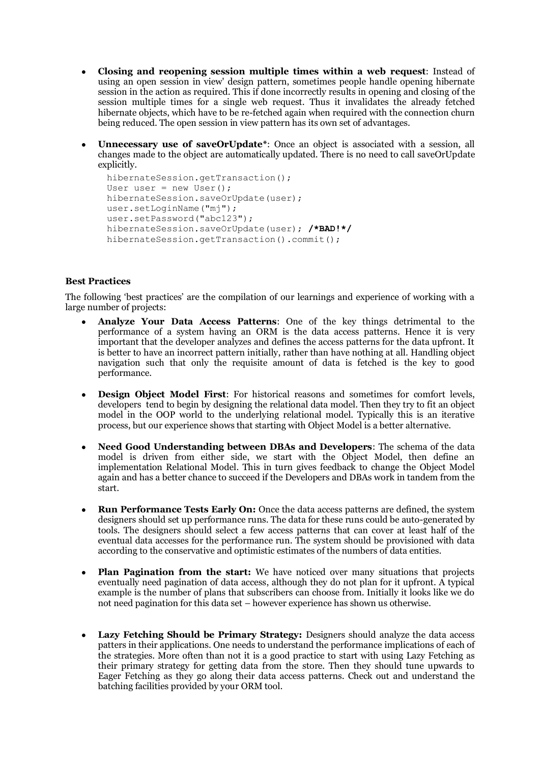- $\bullet$ **Closing and reopening session multiple times within a web request**: Instead of using an open session in view' design pattern, sometimes people handle opening hibernate session in the action as required. This if done incorrectly results in opening and closing of the session multiple times for a single web request. Thus it invalidates the already fetched hibernate objects, which have to be re-fetched again when required with the connection churn being reduced. The open session in view pattern has its own set of advantages.
- **Unnecessary use of saveOrUpdate\***: Once an object is associated with a session, all changes made to the object are automatically updated. There is no need to call saveOrUpdate explicitly.

```
hibernateSession.getTransaction();
User user = new User();
hibernateSession.saveOrUpdate(user);
user.setLoginName("mj");
user.setPassword("abc123");
hibernateSession.saveOrUpdate(user); /*BAD!*/
hibernateSession.getTransaction().commit();
```
# **Best Practices**

The following "best practices" are the compilation of our learnings and experience of working with a large number of projects:

- **Analyze Your Data Access Patterns**: One of the key things detrimental to the performance of a system having an ORM is the data access patterns. Hence it is very important that the developer analyzes and defines the access patterns for the data upfront. It is better to have an incorrect pattern initially, rather than have nothing at all. Handling object navigation such that only the requisite amount of data is fetched is the key to good performance.
- **Design Object Model First**: For historical reasons and sometimes for comfort levels, developers tend to begin by designing the relational data model. Then they try to fit an object model in the OOP world to the underlying relational model. Typically this is an iterative process, but our experience shows that starting with Object Model is a better alternative.
- **Need Good Understanding between DBAs and Developers**: The schema of the data model is driven from either side, we start with the Object Model, then define an implementation Relational Model. This in turn gives feedback to change the Object Model again and has a better chance to succeed if the Developers and DBAs work in tandem from the start.
- **Run Performance Tests Early On:** Once the data access patterns are defined, the system designers should set up performance runs. The data for these runs could be auto-generated by tools. The designers should select a few access patterns that can cover at least half of the eventual data accesses for the performance run. The system should be provisioned with data according to the conservative and optimistic estimates of the numbers of data entities.
- **Plan Pagination from the start:** We have noticed over many situations that projects eventually need pagination of data access, although they do not plan for it upfront. A typical example is the number of plans that subscribers can choose from. Initially it looks like we do not need pagination for this data set – however experience has shown us otherwise.
- **Lazy Fetching Should be Primary Strategy:** Designers should analyze the data access  $\bullet$ patters in their applications. One needs to understand the performance implications of each of the strategies. More often than not it is a good practice to start with using Lazy Fetching as their primary strategy for getting data from the store. Then they should tune upwards to Eager Fetching as they go along their data access patterns. Check out and understand the batching facilities provided by your ORM tool.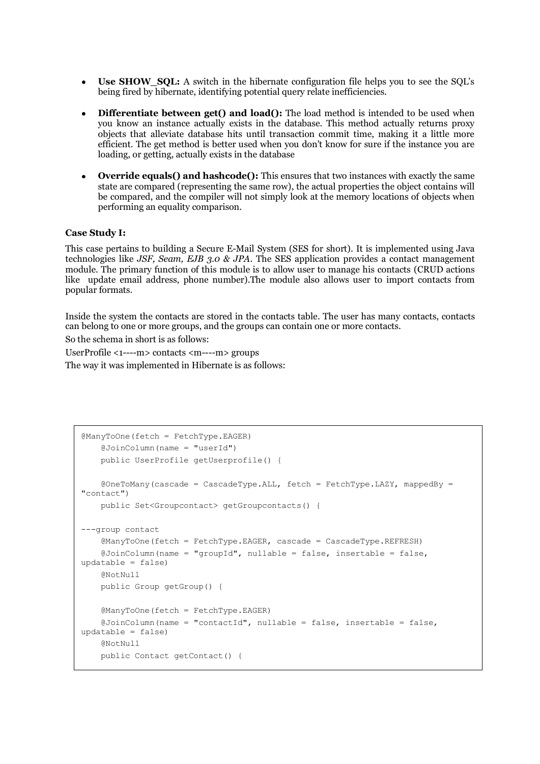- **Use SHOW SQL:** A switch in the hibernate configuration file helps you to see the SQL's  $\bullet$ being fired by hibernate, identifying potential query relate inefficiencies.
- **Differentiate between get() and load():** The load method is intended to be used when  $\bullet$ you know an instance actually exists in the database. This method actually returns proxy objects that alleviate database hits until transaction commit time, making it a little more efficient. The get method is better used when you don't know for sure if the instance you are loading, or getting, actually exists in the database
- **Override equals() and hashcode():** This ensures that two instances with exactly the same  $\bullet$ state are compared (representing the same row), the actual properties the object contains will be compared, and the compiler will not simply look at the memory locations of objects when performing an equality comparison.

# **Case Study I:**

This case pertains to building a Secure E-Mail System (SES for short). It is implemented using Java technologies like *JSF, Seam, EJB 3.0 & JPA*. The SES application provides a contact management module. The primary function of this module is to allow user to manage his contacts (CRUD actions like update email address, phone number).The module also allows user to import contacts from popular formats.

Inside the system the contacts are stored in the contacts table. The user has many contacts, contacts can belong to one or more groups, and the groups can contain one or more contacts.

So the schema in short is as follows:

UserProfile <1----m> contacts <m----m> groups The way it was implemented in Hibernate is as follows:

```
@ManyToOne(fetch = FetchType.EAGER)
     @JoinColumn(name = "userId")
     public UserProfile getUserprofile() {
     @OneToMany(cascade = CascadeType.ALL, fetch = FetchType.LAZY, mappedBy = 
"contact")
     public Set<Groupcontact> getGroupcontacts() {
---group contact
     @ManyToOne(fetch = FetchType.EAGER, cascade = CascadeType.REFRESH)
     @JoinColumn(name = "groupId", nullable = false, insertable = false, 
updatable = false)
    QN \cap fN1111 public Group getGroup() {
     @ManyToOne(fetch = FetchType.EAGER)
     @JoinColumn(name = "contactId", nullable = false, insertable = false, 
updatable = false)
     @NotNull
     public Contact getContact() {
```